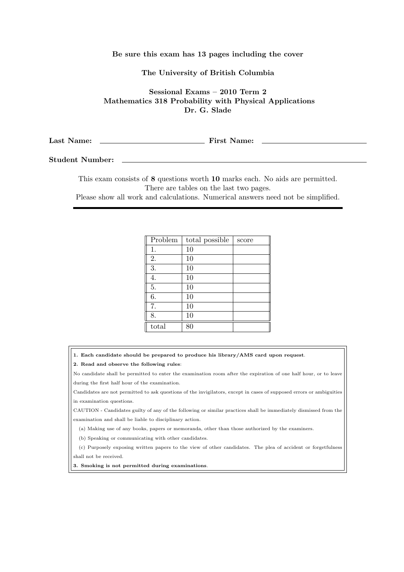## Be sure this exam has 13 pages including the cover

The University of British Columbia

Sessional Exams – 2010 Term 2 Mathematics 318 Probability with Physical Applications Dr. G. Slade

Last Name: First Name:

Student Number:

This exam consists of 8 questions worth 10 marks each. No aids are permitted. There are tables on the last two pages.

Please show all work and calculations. Numerical answers need not be simplified.

| Problem | total possible | score |
|---------|----------------|-------|
| 1.      | 10             |       |
| 2.      | 10             |       |
| 3.      | 10             |       |
| 4.      | 10             |       |
| 5.      | 10             |       |
| 6.      | 10             |       |
| 7.      | 10             |       |
| 8.      | 10             |       |
| total   | 80             |       |

- 1. Each candidate should be prepared to produce his library/AMS card upon request.
- 2. Read and observe the following rules:

No candidate shall be permitted to enter the examination room after the expiration of one half hour, or to leave during the first half hour of the examination.

Candidates are not permitted to ask questions of the invigilators, except in cases of supposed errors or ambiguities in examination questions.

CAUTION - Candidates guilty of any of the following or similar practices shall be immediately dismissed from the examination and shall be liable to disciplinary action.

(a) Making use of any books, papers or memoranda, other than those authorized by the examiners.

(b) Speaking or communicating with other candidates.

(c) Purposely exposing written papers to the view of other candidates. The plea of accident or forgetfulness shall not be received.

3. Smoking is not permitted during examinations.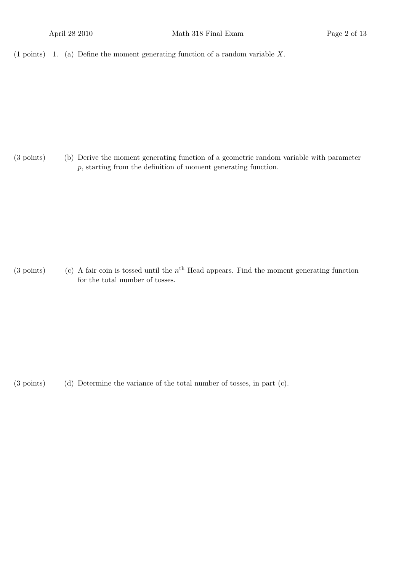(1 points) 1. (a) Define the moment generating function of a random variable  $X$ .

(b)(3 points) Derive the moment generating function of a geometric random variable with parameter p, starting from the definition of moment generating function.

(3 points) (c) A fair coin is tossed until the n<sup>th</sup> Head appears. Find the moment generating function for the total number of tosses.

(d)(3 points) Determine the variance of the total number of tosses, in part (c).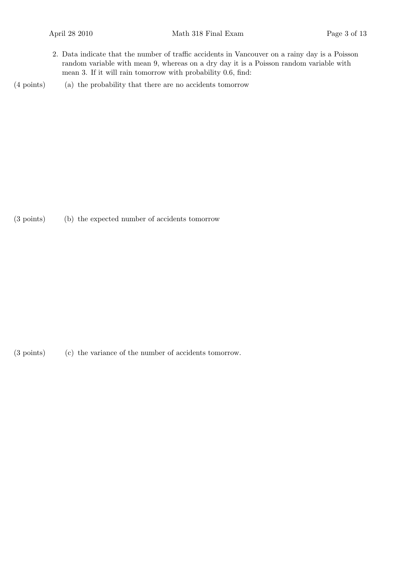2. Data indicate that the number of traffic accidents in Vancouver on a rainy day is a Poisson random variable with mean 9, whereas on a dry day it is a Poisson random variable with mean 3. If it will rain tomorrow with probability 0.6, find:

(4 points) (a) the probability that there are no accidents tomorrow

(3 points) (b) the expected number of accidents tomorrow

(3 points) (c) the variance of the number of accidents tomorrow.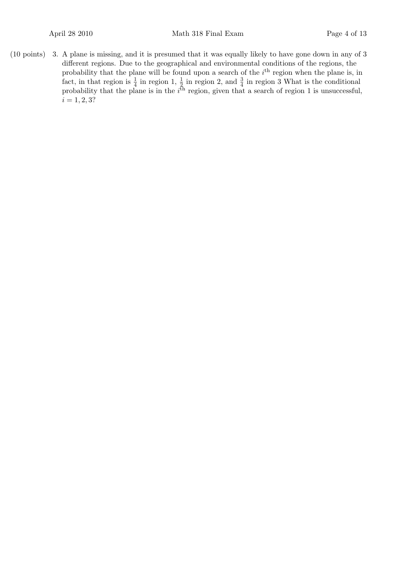3.(10 points) A plane is missing, and it is presumed that it was equally likely to have gone down in any of 3 different regions. Due to the geographical and environmental conditions of the regions, the probability that the plane will be found upon a search of the  $i<sup>th</sup>$  region when the plane is, in fact, in that region is  $\frac{1}{4}$  in region 1,  $\frac{1}{2}$  in region 2, and  $\frac{3}{4}$  in region 3 What is the conditional probability that the plane is in the  $i^{\text{th}}$  region, given that a search of region 1 is unsuccessful,  $i = 1, 2, 3?$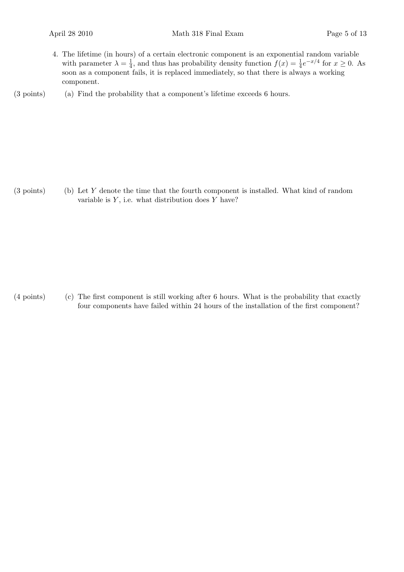- 4. The lifetime (in hours) of a certain electronic component is an exponential random variable with parameter  $\lambda = \frac{1}{4}$  $\frac{1}{4}$ , and thus has probability density function  $f(x) = \frac{1}{4}e^{-x/4}$  for  $x \ge 0$ . As soon as a component fails, it is replaced immediately, so that there is always a working component.
- $(3 \text{ points})$  (a) Find the probability that a component's lifetime exceeds 6 hours.

 $(3 \text{ points})$  (b) Let Y denote the time that the fourth component is installed. What kind of random variable is  $Y$ , i.e. what distribution does  $Y$  have?

(c)(4 points) The first component is still working after 6 hours. What is the probability that exactly four components have failed within 24 hours of the installation of the first component?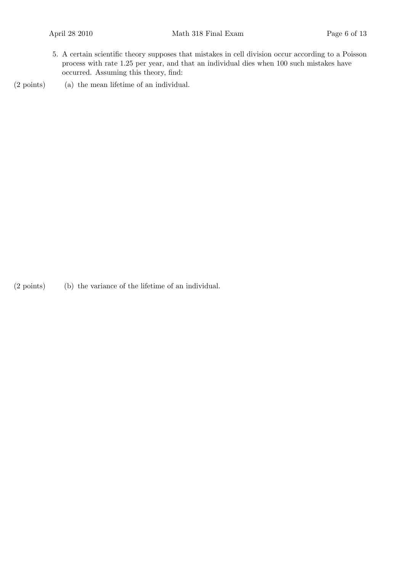- 5. A certain scientific theory supposes that mistakes in cell division occur according to a Poisson process with rate 1.25 per year, and that an individual dies when 100 such mistakes have occurred. Assuming this theory, find:
- $(2 \text{ points})$  (a) the mean lifetime of an individual.

 $(2 \text{ points})$  (b) the variance of the lifetime of an individual.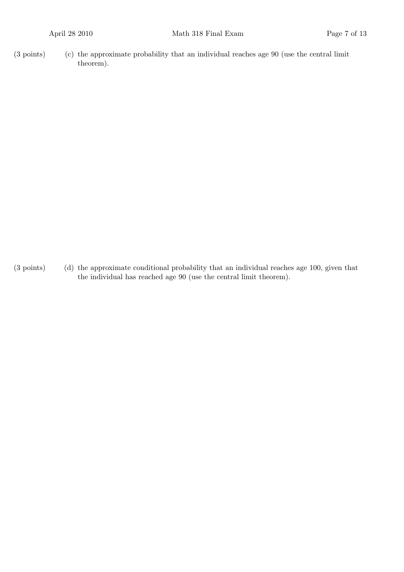$(3 \text{ points})$  (c) the approximate probability that an individual reaches age 90 (use the central limit theorem).

(3 points) (d) the approximate conditional probability that an individual reaches age 100, given that the individual has reached age 90 (use the central limit theorem).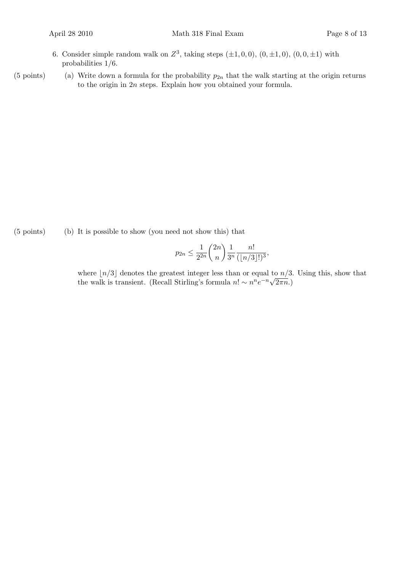- 6. Consider simple random walk on  $Z^3$ , taking steps  $(\pm 1, 0, 0)$ ,  $(0, \pm 1, 0)$ ,  $(0, 0, \pm 1)$  with probabilities 1/6.
- (5 points) (a) Write down a formula for the probability  $p_{2n}$  that the walk starting at the origin returns to the origin in 2n steps. Explain how you obtained your formula.

(b)(5 points) It is possible to show (you need not show this) that

$$
p_{2n} \le \frac{1}{2^{2n}} \binom{2n}{n} \frac{1}{3^n} \frac{n!}{(\lfloor n/3 \rfloor!)^3},
$$

where  $\lfloor n/3 \rfloor$  denotes the greatest integer less than or equal to  $n/3$ . Using this, show that the walk is transient. (Recall Stirling's formula  $n! \sim n^n e^{-n} \sqrt{2\pi n}$ .)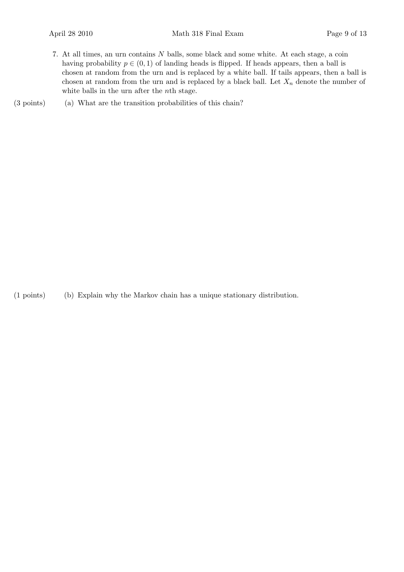- 7. At all times, an urn contains N balls, some black and some white. At each stage, a coin having probability  $p \in (0, 1)$  of landing heads is flipped. If heads appears, then a ball is chosen at random from the urn and is replaced by a white ball. If tails appears, then a ball is chosen at random from the urn and is replaced by a black ball. Let  $X_n$  denote the number of white balls in the urn after the *n*<sup>th</sup> stage.
- (3 points) (a) What are the transition probabilities of this chain?

(b)(1 points) Explain why the Markov chain has a unique stationary distribution.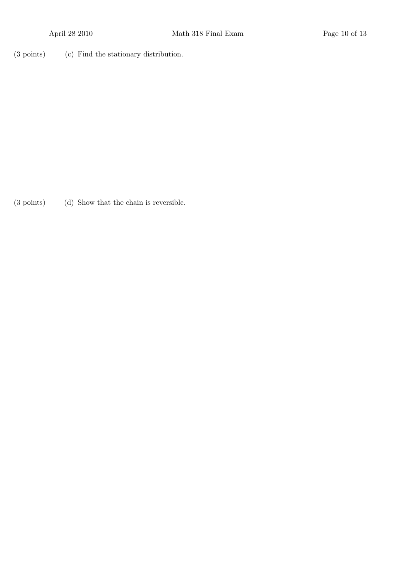(3 points) (c) Find the stationary distribution.

(3 points) (d) Show that the chain is reversible.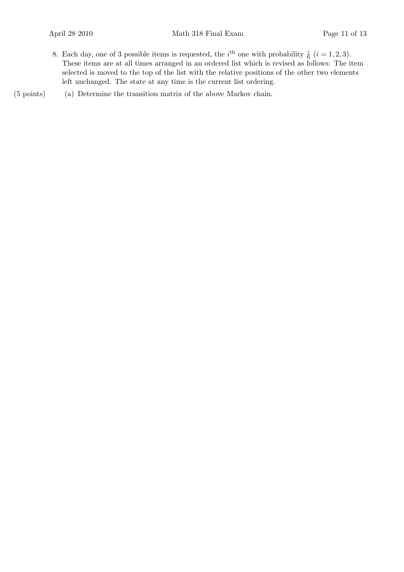8. Each day, one of 3 possible items is requested, the *i*<sup>th</sup> one with probability  $\frac{i}{6}$  (*i* = 1, 2, 3). These items are at all times arranged in an ordered list which is revised as follows: The item selected is moved to the top of the list with the relative positions of the other two elements left unchanged. The state at any time is the current list ordering.

(5 points) (a) Determine the transition matrix of the above Markov chain.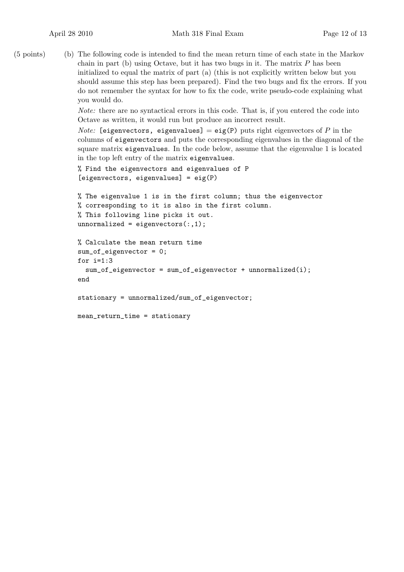(b)(5 points) The following code is intended to find the mean return time of each state in the Markov chain in part (b) using Octave, but it has two bugs in it. The matrix  $P$  has been initialized to equal the matrix of part (a) (this is not explicitly written below but you should assume this step has been prepared). Find the two bugs and fix the errors. If you do not remember the syntax for how to fix the code, write pseudo-code explaining what you would do.

> Note: there are no syntactical errors in this code. That is, if you entered the code into Octave as written, it would run but produce an incorrect result.

*Note:* [eigenvectors, eigenvalues] = eig(P) puts right eigenvectors of P in the columns of eigenvectors and puts the corresponding eigenvalues in the diagonal of the square matrix eigenvalues. In the code below, assume that the eigenvalue 1 is located in the top left entry of the matrix eigenvalues.

```
% Find the eigenvectors and eigenvalues of P
[eigenvectors, eigenvalues] = eig(P)
```

```
% The eigenvalue 1 is in the first column; thus the eigenvector
% corresponding to it is also in the first column.
% This following line picks it out.
unnormalized = eigenvectors(:,1);
```

```
% Calculate the mean return time
sum of eigenvector = 0:
for i=1:3
  sum_of_eigenvector = sum_of_eigenvector + unnormalized(i);
end
```
stationary = unnormalized/sum\_of\_eigenvector;

```
mean_return_time = stationary
```